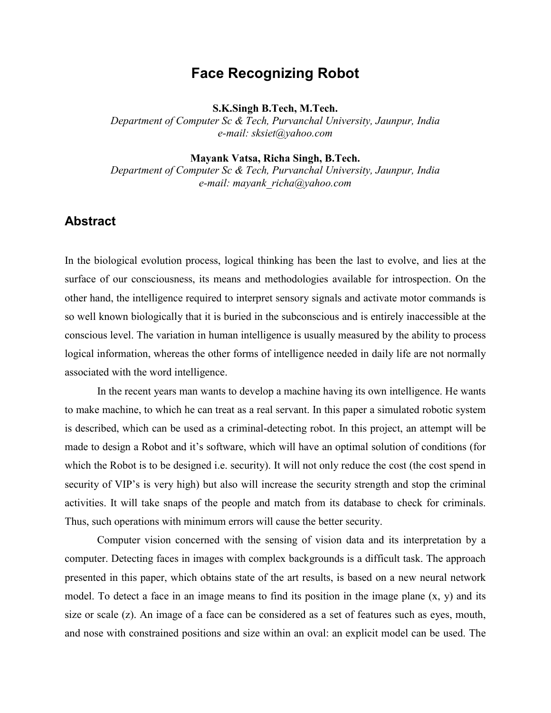# **Face Recognizing Robot**

**S.K.Singh B.Tech, M.Tech.**

*Department of Computer Sc & Tech, Purvanchal University, Jaunpur, India e-mail: sksiet@yahoo.com*

#### **Mayank Vatsa, Richa Singh, B.Tech.**

*Department of Computer Sc & Tech, Purvanchal University, Jaunpur, India e-mail: mayank\_richa@yahoo.com*

## **Abstract**

In the biological evolution process, logical thinking has been the last to evolve, and lies at the surface of our consciousness, its means and methodologies available for introspection. On the other hand, the intelligence required to interpret sensory signals and activate motor commands is so well known biologically that it is buried in the subconscious and is entirely inaccessible at the conscious level. The variation in human intelligence is usually measured by the ability to process logical information, whereas the other forms of intelligence needed in daily life are not normally associated with the word intelligence.

In the recent years man wants to develop a machine having its own intelligence. He wants to make machine, to which he can treat as a real servant. In this paper a simulated robotic system is described, which can be used as a criminal-detecting robot. In this project, an attempt will be made to design a Robot and it's software, which will have an optimal solution of conditions (for which the Robot is to be designed i.e. security). It will not only reduce the cost (the cost spend in security of VIP's is very high) but also will increase the security strength and stop the criminal activities. It will take snaps of the people and match from its database to check for criminals. Thus, such operations with minimum errors will cause the better security.

 Computer vision concerned with the sensing of vision data and its interpretation by a computer. Detecting faces in images with complex backgrounds is a difficult task. The approach presented in this paper, which obtains state of the art results, is based on a new neural network model. To detect a face in an image means to find its position in the image plane  $(x, y)$  and its size or scale (z). An image of a face can be considered as a set of features such as eyes, mouth, and nose with constrained positions and size within an oval: an explicit model can be used. The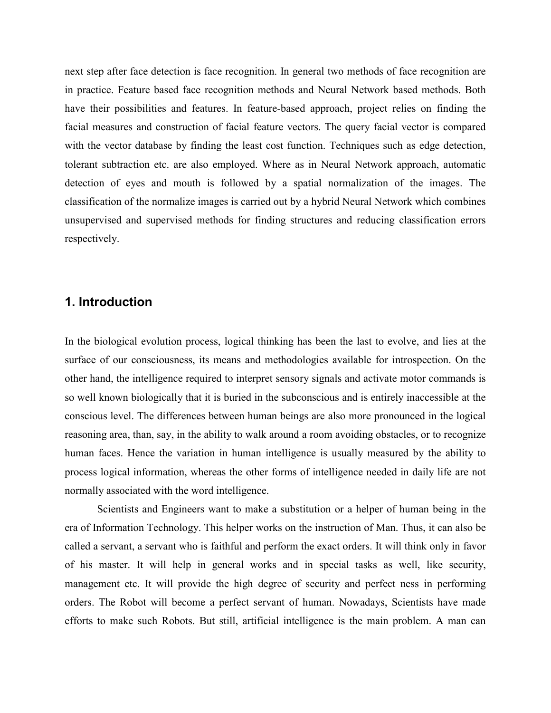next step after face detection is face recognition. In general two methods of face recognition are in practice. Feature based face recognition methods and Neural Network based methods. Both have their possibilities and features. In feature-based approach, project relies on finding the facial measures and construction of facial feature vectors. The query facial vector is compared with the vector database by finding the least cost function. Techniques such as edge detection, tolerant subtraction etc. are also employed. Where as in Neural Network approach, automatic detection of eyes and mouth is followed by a spatial normalization of the images. The classification of the normalize images is carried out by a hybrid Neural Network which combines unsupervised and supervised methods for finding structures and reducing classification errors respectively.

## **1. Introduction**

In the biological evolution process, logical thinking has been the last to evolve, and lies at the surface of our consciousness, its means and methodologies available for introspection. On the other hand, the intelligence required to interpret sensory signals and activate motor commands is so well known biologically that it is buried in the subconscious and is entirely inaccessible at the conscious level. The differences between human beings are also more pronounced in the logical reasoning area, than, say, in the ability to walk around a room avoiding obstacles, or to recognize human faces. Hence the variation in human intelligence is usually measured by the ability to process logical information, whereas the other forms of intelligence needed in daily life are not normally associated with the word intelligence.

Scientists and Engineers want to make a substitution or a helper of human being in the era of Information Technology. This helper works on the instruction of Man. Thus, it can also be called a servant, a servant who is faithful and perform the exact orders. It will think only in favor of his master. It will help in general works and in special tasks as well, like security, management etc. It will provide the high degree of security and perfect ness in performing orders. The Robot will become a perfect servant of human. Nowadays, Scientists have made efforts to make such Robots. But still, artificial intelligence is the main problem. A man can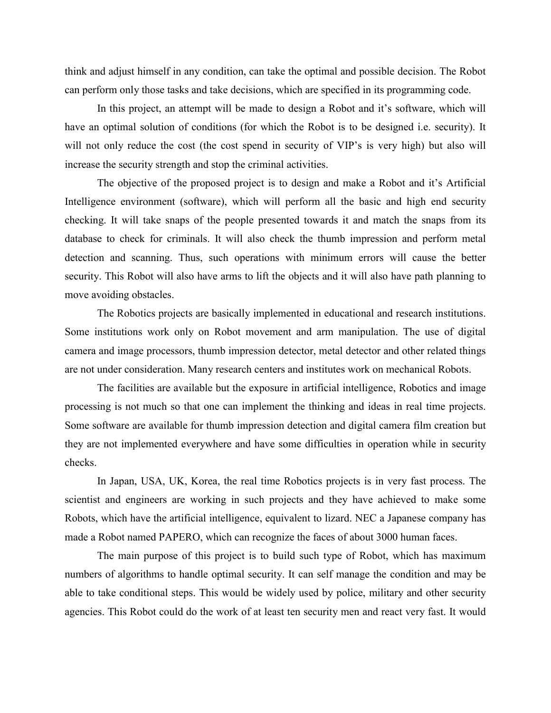think and adjust himself in any condition, can take the optimal and possible decision. The Robot can perform only those tasks and take decisions, which are specified in its programming code.

 In this project, an attempt will be made to design a Robot and it's software, which will have an optimal solution of conditions (for which the Robot is to be designed i.e. security). It will not only reduce the cost (the cost spend in security of VIP's is very high) but also will increase the security strength and stop the criminal activities.

The objective of the proposed project is to design and make a Robot and it's Artificial Intelligence environment (software), which will perform all the basic and high end security checking. It will take snaps of the people presented towards it and match the snaps from its database to check for criminals. It will also check the thumb impression and perform metal detection and scanning. Thus, such operations with minimum errors will cause the better security. This Robot will also have arms to lift the objects and it will also have path planning to move avoiding obstacles.

The Robotics projects are basically implemented in educational and research institutions. Some institutions work only on Robot movement and arm manipulation. The use of digital camera and image processors, thumb impression detector, metal detector and other related things are not under consideration. Many research centers and institutes work on mechanical Robots.

The facilities are available but the exposure in artificial intelligence, Robotics and image processing is not much so that one can implement the thinking and ideas in real time projects. Some software are available for thumb impression detection and digital camera film creation but they are not implemented everywhere and have some difficulties in operation while in security checks.

In Japan, USA, UK, Korea, the real time Robotics projects is in very fast process. The scientist and engineers are working in such projects and they have achieved to make some Robots, which have the artificial intelligence, equivalent to lizard. NEC a Japanese company has made a Robot named PAPERO, which can recognize the faces of about 3000 human faces.

The main purpose of this project is to build such type of Robot, which has maximum numbers of algorithms to handle optimal security. It can self manage the condition and may be able to take conditional steps. This would be widely used by police, military and other security agencies. This Robot could do the work of at least ten security men and react very fast. It would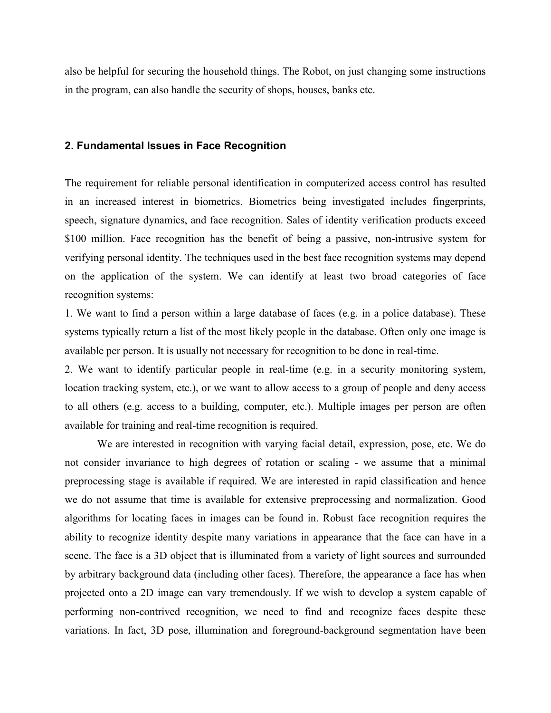also be helpful for securing the household things. The Robot, on just changing some instructions in the program, can also handle the security of shops, houses, banks etc.

#### **2. Fundamental Issues in Face Recognition**

The requirement for reliable personal identification in computerized access control has resulted in an increased interest in biometrics. Biometrics being investigated includes fingerprints, speech, signature dynamics, and face recognition. Sales of identity verification products exceed \$100 million. Face recognition has the benefit of being a passive, non-intrusive system for verifying personal identity. The techniques used in the best face recognition systems may depend on the application of the system. We can identify at least two broad categories of face recognition systems:

1. We want to find a person within a large database of faces (e.g. in a police database). These systems typically return a list of the most likely people in the database. Often only one image is available per person. It is usually not necessary for recognition to be done in real-time.

2. We want to identify particular people in real-time (e.g. in a security monitoring system, location tracking system, etc.), or we want to allow access to a group of people and deny access to all others (e.g. access to a building, computer, etc.). Multiple images per person are often available for training and real-time recognition is required.

We are interested in recognition with varying facial detail, expression, pose, etc. We do not consider invariance to high degrees of rotation or scaling - we assume that a minimal preprocessing stage is available if required. We are interested in rapid classification and hence we do not assume that time is available for extensive preprocessing and normalization. Good algorithms for locating faces in images can be found in. Robust face recognition requires the ability to recognize identity despite many variations in appearance that the face can have in a scene. The face is a 3D object that is illuminated from a variety of light sources and surrounded by arbitrary background data (including other faces). Therefore, the appearance a face has when projected onto a 2D image can vary tremendously. If we wish to develop a system capable of performing non-contrived recognition, we need to find and recognize faces despite these variations. In fact, 3D pose, illumination and foreground-background segmentation have been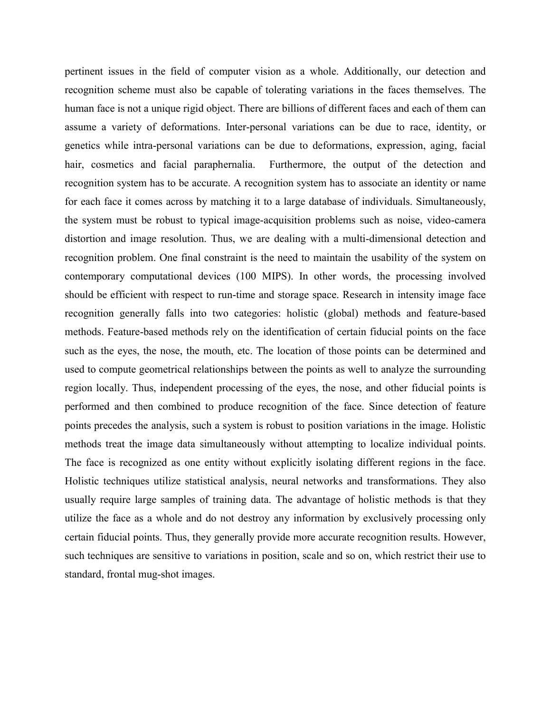pertinent issues in the field of computer vision as a whole. Additionally, our detection and recognition scheme must also be capable of tolerating variations in the faces themselves. The human face is not a unique rigid object. There are billions of different faces and each of them can assume a variety of deformations. Inter-personal variations can be due to race, identity, or genetics while intra-personal variations can be due to deformations, expression, aging, facial hair, cosmetics and facial paraphernalia. Furthermore, the output of the detection and recognition system has to be accurate. A recognition system has to associate an identity or name for each face it comes across by matching it to a large database of individuals. Simultaneously, the system must be robust to typical image-acquisition problems such as noise, video-camera distortion and image resolution. Thus, we are dealing with a multi-dimensional detection and recognition problem. One final constraint is the need to maintain the usability of the system on contemporary computational devices (100 MIPS). In other words, the processing involved should be efficient with respect to run-time and storage space. Research in intensity image face recognition generally falls into two categories: holistic (global) methods and feature-based methods. Feature-based methods rely on the identification of certain fiducial points on the face such as the eyes, the nose, the mouth, etc. The location of those points can be determined and used to compute geometrical relationships between the points as well to analyze the surrounding region locally. Thus, independent processing of the eyes, the nose, and other fiducial points is performed and then combined to produce recognition of the face. Since detection of feature points precedes the analysis, such a system is robust to position variations in the image. Holistic methods treat the image data simultaneously without attempting to localize individual points. The face is recognized as one entity without explicitly isolating different regions in the face. Holistic techniques utilize statistical analysis, neural networks and transformations. They also usually require large samples of training data. The advantage of holistic methods is that they utilize the face as a whole and do not destroy any information by exclusively processing only certain fiducial points. Thus, they generally provide more accurate recognition results. However, such techniques are sensitive to variations in position, scale and so on, which restrict their use to standard, frontal mug-shot images.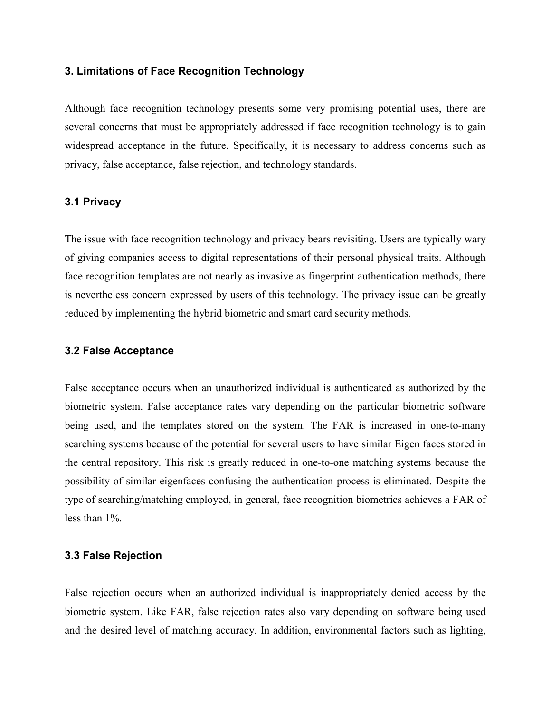### **3. Limitations of Face Recognition Technology**

Although face recognition technology presents some very promising potential uses, there are several concerns that must be appropriately addressed if face recognition technology is to gain widespread acceptance in the future. Specifically, it is necessary to address concerns such as privacy, false acceptance, false rejection, and technology standards.

#### **3.1 Privacy**

The issue with face recognition technology and privacy bears revisiting. Users are typically wary of giving companies access to digital representations of their personal physical traits. Although face recognition templates are not nearly as invasive as fingerprint authentication methods, there is nevertheless concern expressed by users of this technology. The privacy issue can be greatly reduced by implementing the hybrid biometric and smart card security methods.

#### **3.2 False Acceptance**

False acceptance occurs when an unauthorized individual is authenticated as authorized by the biometric system. False acceptance rates vary depending on the particular biometric software being used, and the templates stored on the system. The FAR is increased in one-to-many searching systems because of the potential for several users to have similar Eigen faces stored in the central repository. This risk is greatly reduced in one-to-one matching systems because the possibility of similar eigenfaces confusing the authentication process is eliminated. Despite the type of searching/matching employed, in general, face recognition biometrics achieves a FAR of less than 1%.

### **3.3 False Rejection**

False rejection occurs when an authorized individual is inappropriately denied access by the biometric system. Like FAR, false rejection rates also vary depending on software being used and the desired level of matching accuracy. In addition, environmental factors such as lighting,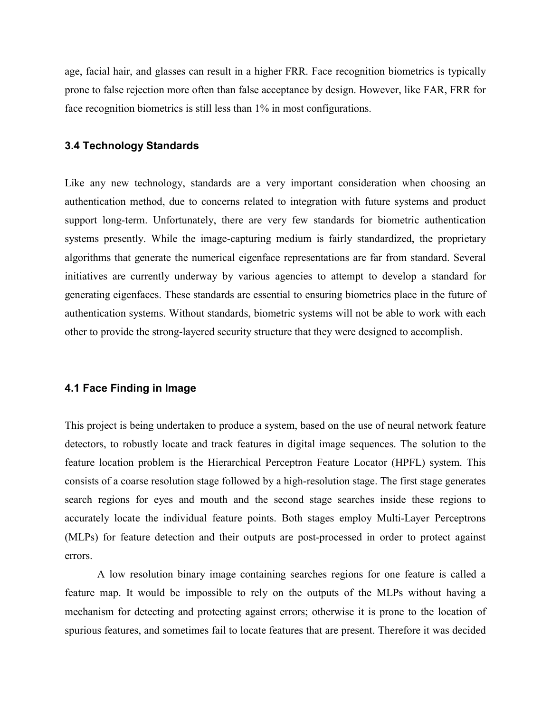age, facial hair, and glasses can result in a higher FRR. Face recognition biometrics is typically prone to false rejection more often than false acceptance by design. However, like FAR, FRR for face recognition biometrics is still less than 1% in most configurations.

### **3.4 Technology Standards**

Like any new technology, standards are a very important consideration when choosing an authentication method, due to concerns related to integration with future systems and product support long-term. Unfortunately, there are very few standards for biometric authentication systems presently. While the image-capturing medium is fairly standardized, the proprietary algorithms that generate the numerical eigenface representations are far from standard. Several initiatives are currently underway by various agencies to attempt to develop a standard for generating eigenfaces. These standards are essential to ensuring biometrics place in the future of authentication systems. Without standards, biometric systems will not be able to work with each other to provide the strong-layered security structure that they were designed to accomplish.

### **4.1 Face Finding in Image**

This project is being undertaken to produce a system, based on the use of neural network feature detectors, to robustly locate and track features in digital image sequences. The solution to the feature location problem is the Hierarchical Perceptron Feature Locator (HPFL) system. This consists of a coarse resolution stage followed by a high-resolution stage. The first stage generates search regions for eyes and mouth and the second stage searches inside these regions to accurately locate the individual feature points. Both stages employ Multi-Layer Perceptrons (MLPs) for feature detection and their outputs are post-processed in order to protect against errors.

A low resolution binary image containing searches regions for one feature is called a feature map. It would be impossible to rely on the outputs of the MLPs without having a mechanism for detecting and protecting against errors; otherwise it is prone to the location of spurious features, and sometimes fail to locate features that are present. Therefore it was decided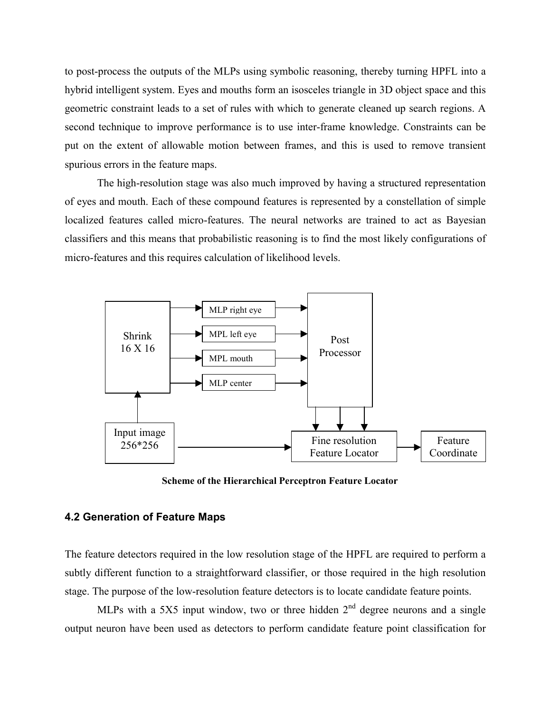to post-process the outputs of the MLPs using symbolic reasoning, thereby turning HPFL into a hybrid intelligent system. Eyes and mouths form an isosceles triangle in 3D object space and this geometric constraint leads to a set of rules with which to generate cleaned up search regions. A second technique to improve performance is to use inter-frame knowledge. Constraints can be put on the extent of allowable motion between frames, and this is used to remove transient spurious errors in the feature maps.

The high-resolution stage was also much improved by having a structured representation of eyes and mouth. Each of these compound features is represented by a constellation of simple localized features called micro-features. The neural networks are trained to act as Bayesian classifiers and this means that probabilistic reasoning is to find the most likely configurations of micro-features and this requires calculation of likelihood levels.



**Scheme of the Hierarchical Perceptron Feature Locator**

#### **4.2 Generation of Feature Maps**

The feature detectors required in the low resolution stage of the HPFL are required to perform a subtly different function to a straightforward classifier, or those required in the high resolution stage. The purpose of the low-resolution feature detectors is to locate candidate feature points.

MLPs with a 5X5 input window, two or three hidden  $2<sup>nd</sup>$  degree neurons and a single output neuron have been used as detectors to perform candidate feature point classification for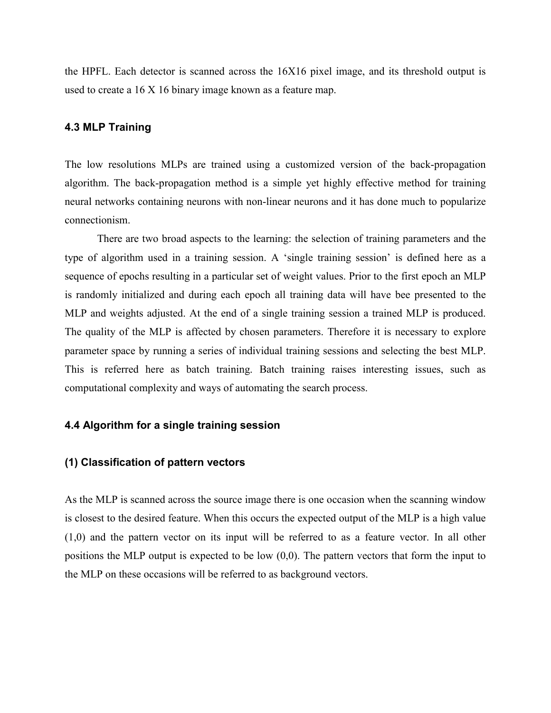the HPFL. Each detector is scanned across the 16X16 pixel image, and its threshold output is used to create a 16 X 16 binary image known as a feature map.

#### **4.3 MLP Training**

The low resolutions MLPs are trained using a customized version of the back-propagation algorithm. The back-propagation method is a simple yet highly effective method for training neural networks containing neurons with non-linear neurons and it has done much to popularize connectionism.

There are two broad aspects to the learning: the selection of training parameters and the type of algorithm used in a training session. A 'single training session' is defined here as a sequence of epochs resulting in a particular set of weight values. Prior to the first epoch an MLP is randomly initialized and during each epoch all training data will have bee presented to the MLP and weights adjusted. At the end of a single training session a trained MLP is produced. The quality of the MLP is affected by chosen parameters. Therefore it is necessary to explore parameter space by running a series of individual training sessions and selecting the best MLP. This is referred here as batch training. Batch training raises interesting issues, such as computational complexity and ways of automating the search process.

#### **4.4 Algorithm for a single training session**

#### **(1) Classification of pattern vectors**

As the MLP is scanned across the source image there is one occasion when the scanning window is closest to the desired feature. When this occurs the expected output of the MLP is a high value (1,0) and the pattern vector on its input will be referred to as a feature vector. In all other positions the MLP output is expected to be low (0,0). The pattern vectors that form the input to the MLP on these occasions will be referred to as background vectors.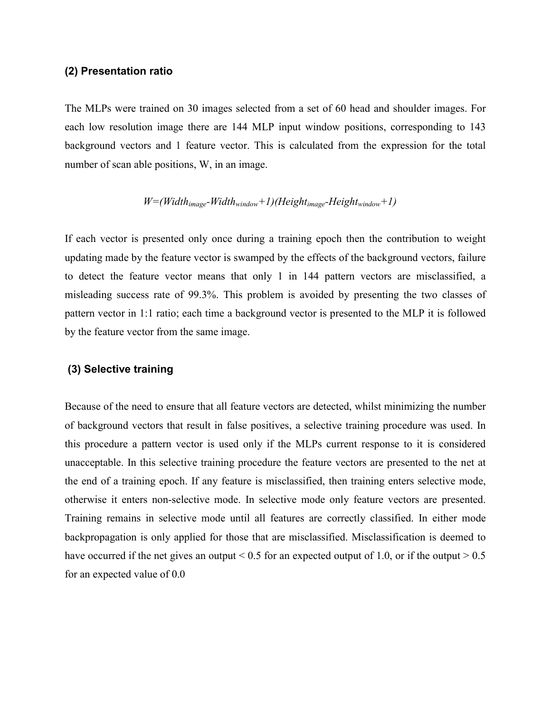#### **(2) Presentation ratio**

The MLPs were trained on 30 images selected from a set of 60 head and shoulder images. For each low resolution image there are 144 MLP input window positions, corresponding to 143 background vectors and 1 feature vector. This is calculated from the expression for the total number of scan able positions, W, in an image.

$$
W=(Width_{image}\text{-}Width_{window}\text{+}1)(Height_{image}\text{-}Height_{window}\text{+}1)
$$

If each vector is presented only once during a training epoch then the contribution to weight updating made by the feature vector is swamped by the effects of the background vectors, failure to detect the feature vector means that only 1 in 144 pattern vectors are misclassified, a misleading success rate of 99.3%. This problem is avoided by presenting the two classes of pattern vector in 1:1 ratio; each time a background vector is presented to the MLP it is followed by the feature vector from the same image.

#### **(3) Selective training**

Because of the need to ensure that all feature vectors are detected, whilst minimizing the number of background vectors that result in false positives, a selective training procedure was used. In this procedure a pattern vector is used only if the MLPs current response to it is considered unacceptable. In this selective training procedure the feature vectors are presented to the net at the end of a training epoch. If any feature is misclassified, then training enters selective mode, otherwise it enters non-selective mode. In selective mode only feature vectors are presented. Training remains in selective mode until all features are correctly classified. In either mode backpropagation is only applied for those that are misclassified. Misclassification is deemed to have occurred if the net gives an output  $< 0.5$  for an expected output of 1.0, or if the output  $> 0.5$ for an expected value of 0.0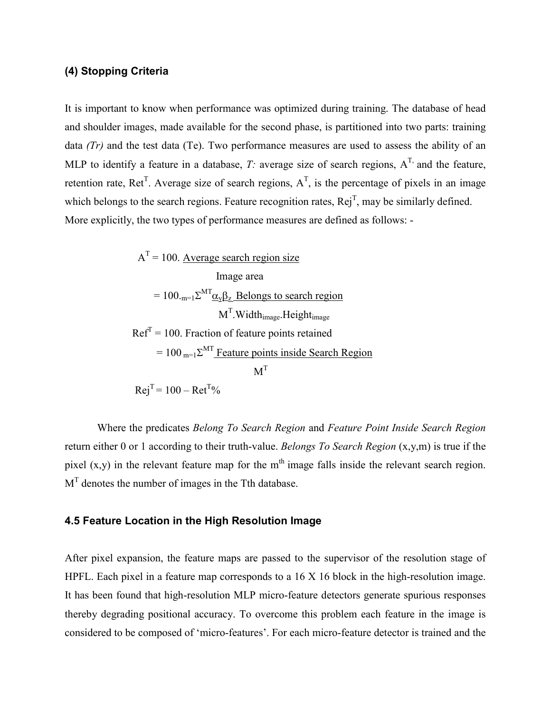### **(4) Stopping Criteria**

It is important to know when performance was optimized during training. The database of head and shoulder images, made available for the second phase, is partitioned into two parts: training data *(Tr)* and the test data *(Te)*. Two performance measures are used to assess the ability of an MLP to identify a feature in a database,  $T$ : average size of search regions,  $A<sup>T</sup>$ , and the feature, retention rate,  $Ret^{T}$ . Average size of search regions,  $A^{T}$ , is the percentage of pixels in an image which belongs to the search regions. Feature recognition rates,  $\text{Rej}^{\text{T}}$ , may be similarly defined. More explicitly, the two types of performance measures are defined as follows: -

$$
AT = 100. \underline{Average search region size}
$$
  
Image area  
= 100.<sub>m=1</sub>  $\Sigma$ <sup>MT</sup>  $\underline{\alpha}_{y} \underline{\beta}_{z}$  Belongs to search region  
 $MT$ . Width<sub>image</sub>. Height<sub>image</sub>  
Ref<sup>T</sup> = 100. Fraction of feature points retained  
= 100<sub>m=1</sub>  $\Sigma$ <sup>MT</sup> Feature points inside Search Region  
 $MT$   
Ref<sup>T</sup> = 100 - Ret<sup>T</sup>%

Where the predicates *Belong To Search Region* and *Feature Point Inside Search Region* return either 0 or 1 according to their truth-value. *Belongs To Search Region* (x,y,m) is true if the pixel  $(x,y)$  in the relevant feature map for the m<sup>th</sup> image falls inside the relevant search region.  $M<sup>T</sup>$  denotes the number of images in the Tth database.

## **4.5 Feature Location in the High Resolution Image**

After pixel expansion, the feature maps are passed to the supervisor of the resolution stage of HPFL. Each pixel in a feature map corresponds to a 16 X 16 block in the high-resolution image. It has been found that high-resolution MLP micro-feature detectors generate spurious responses thereby degrading positional accuracy. To overcome this problem each feature in the image is considered to be composed of 'micro-features'. For each micro-feature detector is trained and the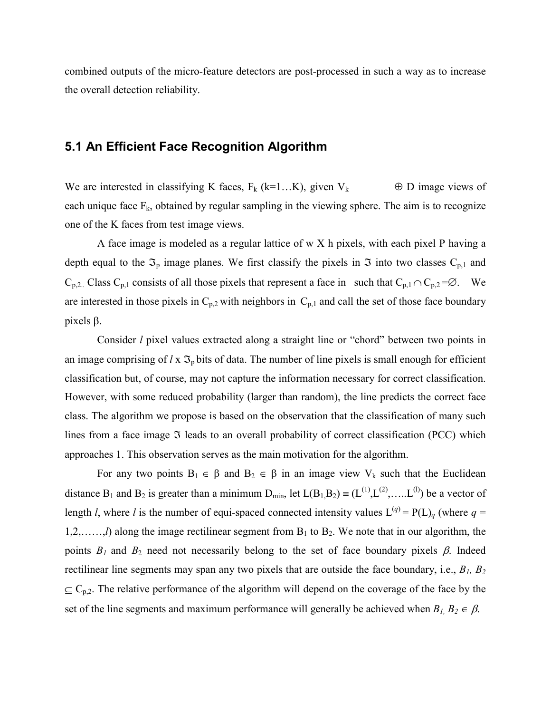combined outputs of the micro-feature detectors are post-processed in such a way as to increase the overall detection reliability.

# **5.1 An Efficient Face Recognition Algorithm**

We are interested in classifying K faces,  $F_k$  (k=1...K), given  $V_k \oplus D$  image views of each unique face  $F_k$ , obtained by regular sampling in the viewing sphere. The aim is to recognize one of the K faces from test image views.

A face image is modeled as a regular lattice of w X h pixels, with each pixel P having a depth equal to the  $\mathfrak{I}_p$  image planes. We first classify the pixels in  $\mathfrak{I}$  into two classes C<sub>p,1</sub> and  $C_{p,2}$ . Class  $C_{p,1}$  consists of all those pixels that represent a face in such that  $C_{p,1} \cap C_{p,2} = \emptyset$ . We are interested in those pixels in  $C_{p,2}$  with neighbors in  $C_{p,1}$  and call the set of those face boundary pixels  $\beta$ .

Consider *l* pixel values extracted along a straight line or "chord" between two points in an image comprising of  $l \times \mathfrak{I}_p$  bits of data. The number of line pixels is small enough for efficient classification but, of course, may not capture the information necessary for correct classification. However, with some reduced probability (larger than random), the line predicts the correct face class. The algorithm we propose is based on the observation that the classification of many such lines from a face image  $\Im$  leads to an overall probability of correct classification (PCC) which approaches 1. This observation serves as the main motivation for the algorithm.

For any two points  $B_1 \in \beta$  and  $B_2 \in \beta$  in an image view  $V_k$  such that the Euclidean distance B<sub>1</sub> and B<sub>2</sub> is greater than a minimum D<sub>min</sub>, let  $L(B_1, B_2) = (L^{(1)}, L^{(2)}, \ldots, L^{(l)})$  be a vector of length *l*, where *l* is the number of equi-spaced connected intensity values  $L^{(q)} = P(L)$ <sub>q</sub> (where  $q =$  $1,2, \ldots, l$ ) along the image rectilinear segment from  $B_1$  to  $B_2$ . We note that in our algorithm, the points  $B_1$  and  $B_2$  need not necessarily belong to the set of face boundary pixels  $\beta$ . Indeed rectilinear line segments may span any two pixels that are outside the face boundary, i.e., *B1, B2*  $\subseteq$  C<sub>p,2</sub>. The relative performance of the algorithm will depend on the coverage of the face by the set of the line segments and maximum performance will generally be achieved when  $B_1, B_2 \in \beta$ .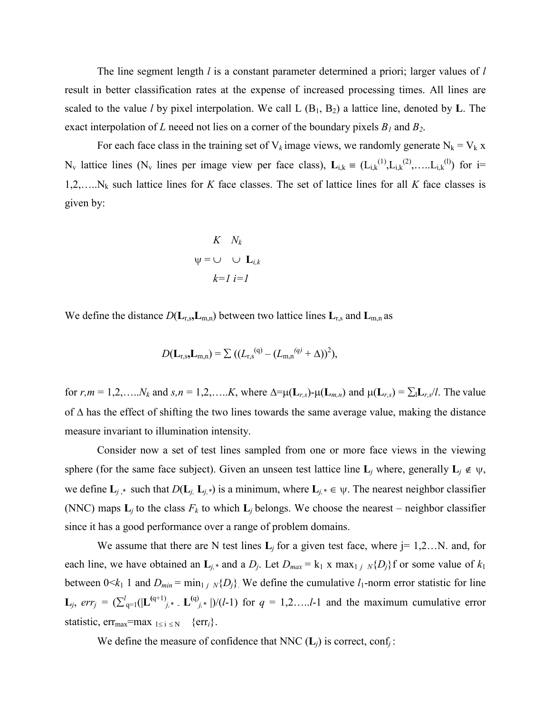The line segment length *l* is a constant parameter determined a priori; larger values of *l* result in better classification rates at the expense of increased processing times. All lines are scaled to the value *l* by pixel interpolation. We call L  $(B_1, B_2)$  a lattice line, denoted by L. The exact interpolation of *L* neeed not lies on a corner of the boundary pixels *B1* and *B2*.

For each face class in the training set of  $V_k$  image views, we randomly generate  $N_k = V_k x$  $N_v$  lattice lines ( $N_v$  lines per image view per face class),  $L_{i,k} = (L_{i,k}^{(1)},L_{i,k}^{(2)},....L_{i,k}^{(l)})$  for i= 1,2,…..Nk such lattice lines for *K* face classes. The set of lattice lines for all *K* face classes is given by:

$$
K \t N_k
$$
  

$$
\psi = \cup \bigcup \mathbf{L}_{i,k}
$$
  

$$
k = 1 \quad i = 1
$$

We define the distance  $D(\mathbf{L}_{r,s}, \mathbf{L}_{m,n})$  between two lattice lines  $\mathbf{L}_{r,s}$  and  $\mathbf{L}_{m,n}$  as

$$
D(\mathbf{L}_{r,s}, \mathbf{L}_{m,n}) = \sum ((L_{r,s}^{(q)} - (L_{m,n}^{(q)} + \Delta))^2),
$$

for  $r,m = 1,2,...,N_k$  and  $s,n = 1,2,...,K$ , where  $\Delta = \mu(L_{r,s}) - \mu(L_{m,n})$  and  $\mu(L_{r,s}) = \sum_{l} L_{r,s}/l$ . The value of  $\Delta$  has the effect of shifting the two lines towards the same average value, making the distance measure invariant to illumination intensity.

Consider now a set of test lines sampled from one or more face views in the viewing sphere (for the same face subject). Given an unseen test lattice line  $\mathbf{L}_j$  where, generally  $\mathbf{L}_j \notin \Psi$ , we define  $\mathbf{L}_{j,*}$  such that  $D(\mathbf{L}_{j}, \mathbf{L}_{j,*})$  is a minimum, where  $\mathbf{L}_{j,*} \in \mathcal{V}$ . The nearest neighbor classifier (NNC) maps  $\mathbf{L}_j$  to the class  $F_k$  to which  $\mathbf{L}_j$  belongs. We choose the nearest – neighbor classifier since it has a good performance over a range of problem domains.

We assume that there are N test lines  $\mathbf{L}_i$  for a given test face, where  $j = 1, 2, \dots N$ . and, for each line, we have obtained an  $\mathbf{L}_{j,*}$  and a  $D_j$ . Let  $D_{max} = \mathbf{k}_1 \times \max_{j} {N_j D_j}$  f or some value of  $k_1$ between  $0 \le k_1$  1 and  $D_{min} = \min_{1 \in I} N\{D_i\}$ . We define the cumulative  $l_1$ -norm error statistic for line  $L_j$ ,  $err_j = (\sum_{q=1}^l (|\mathbf{L}^{(q+1)}|j^*|, \mathbf{L}^{(q)}|j^*)/(l-1))$  for  $q = 1, 2, \ldots, l-1$  and the maximum cumulative error statistic,  $\text{err}_{\text{max}}=\text{max}_{1\leq i\leq N} \{err_i\}.$ 

We define the measure of confidence that NNC  $(L_i)$  is correct, conf<sub>*i*</sub>: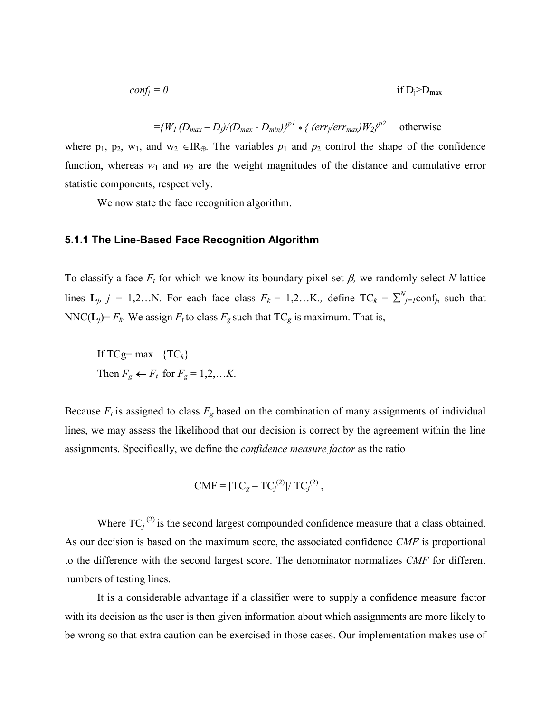*confj = 0* if Dj>Dmax

$$
= (W_1 (D_{\text{max}} - D_j)/(D_{\text{max}} - D_{\text{min}}))^{p1} * \{ (\text{err}_j/\text{err}_{\text{max}}) W_2 \}^{p2} \quad \text{otherwise}
$$

where  $p_1$ ,  $p_2$ ,  $w_1$ , and  $w_2 \in \mathbb{R}_{\oplus}$ . The variables  $p_1$  and  $p_2$  control the shape of the confidence function, whereas  $w_1$  and  $w_2$  are the weight magnitudes of the distance and cumulative error statistic components, respectively.

We now state the face recognition algorithm.

#### **5.1.1 The Line-Based Face Recognition Algorithm**

To classify a face  $F_t$  for which we know its boundary pixel set  $\beta$ , we randomly select N lattice lines  $\mathbf{L}_j$ ,  $j = 1,2...N$ . For each face class  $F_k = 1,2...K$ ., define  $TC_k = \sum_{j=1}^{N} \text{conf}_j$ , such that NNC(**L**<sub>*j*</sub>)=  $F_k$ . We assign  $F_t$  to class  $F_g$  such that TC<sub>g</sub> is maximum. That is,

If  $TCg= max \{TC_k\}$ Then  $F_g \leftarrow F_t$  for  $F_g = 1, 2, \ldots K$ .

Because  $F_t$  is assigned to class  $F_g$  based on the combination of many assignments of individual lines, we may assess the likelihood that our decision is correct by the agreement within the line assignments. Specifically, we define the *confidence measure factor* as the ratio

$$
CMF = [TC_g - TC_j^{(2)}]/TC_j^{(2)},
$$

Where  $TC_j^{(2)}$  is the second largest compounded confidence measure that a class obtained. As our decision is based on the maximum score, the associated confidence *CMF* is proportional to the difference with the second largest score. The denominator normalizes *CMF* for different numbers of testing lines.

It is a considerable advantage if a classifier were to supply a confidence measure factor with its decision as the user is then given information about which assignments are more likely to be wrong so that extra caution can be exercised in those cases. Our implementation makes use of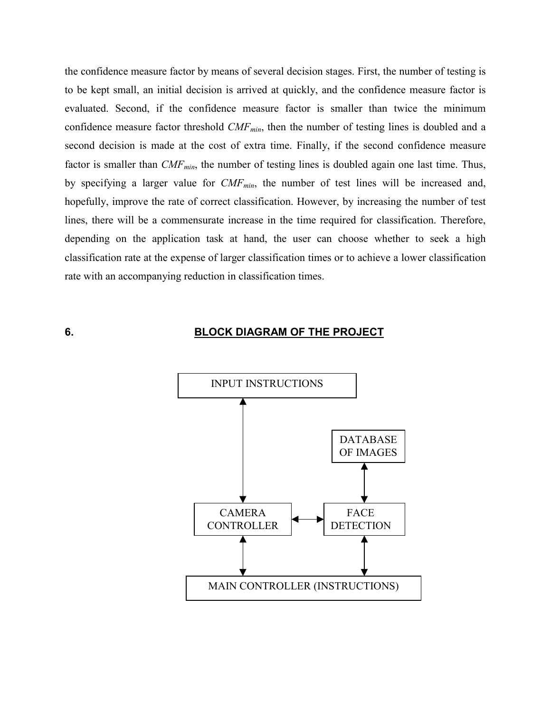the confidence measure factor by means of several decision stages. First, the number of testing is to be kept small, an initial decision is arrived at quickly, and the confidence measure factor is evaluated. Second, if the confidence measure factor is smaller than twice the minimum confidence measure factor threshold *CMF<sub>min*</sub>, then the number of testing lines is doubled and a second decision is made at the cost of extra time. Finally, if the second confidence measure factor is smaller than  $CMF_{min}$ , the number of testing lines is doubled again one last time. Thus, by specifying a larger value for *CMF<sub>min*</sub>, the number of test lines will be increased and, hopefully, improve the rate of correct classification. However, by increasing the number of test lines, there will be a commensurate increase in the time required for classification. Therefore, depending on the application task at hand, the user can choose whether to seek a high classification rate at the expense of larger classification times or to achieve a lower classification rate with an accompanying reduction in classification times.

#### **6. BLOCK DIAGRAM OF THE PROJECT**

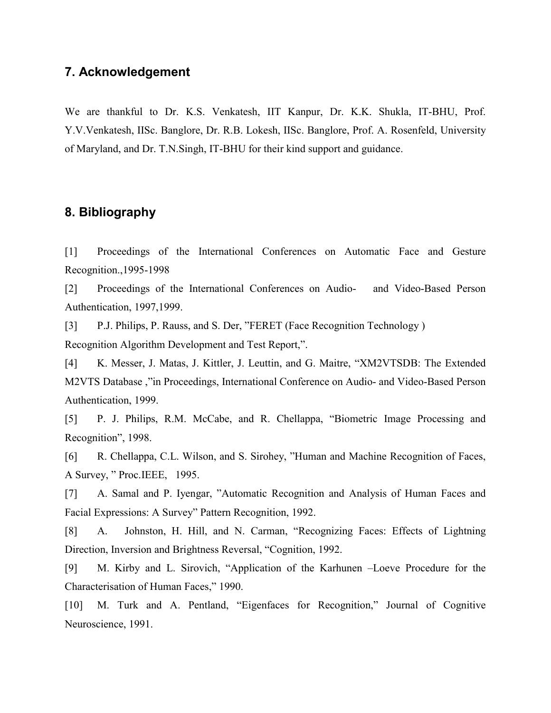# **7. Acknowledgement**

We are thankful to Dr. K.S. Venkatesh, IIT Kanpur, Dr. K.K. Shukla, IT-BHU, Prof. Y.V.Venkatesh, IISc. Banglore, Dr. R.B. Lokesh, IISc. Banglore, Prof. A. Rosenfeld, University of Maryland, and Dr. T.N.Singh, IT-BHU for their kind support and guidance.

# **8. Bibliography**

[1] Proceedings of the International Conferences on Automatic Face and Gesture Recognition.,1995-1998

[2] Proceedings of the International Conferences on Audio- and Video-Based Person Authentication, 1997,1999.

[3] P.J. Philips, P. Rauss, and S. Der, "FERET (Face Recognition Technology) Recognition Algorithm Development and Test Report,".

[4] K. Messer, J. Matas, J. Kittler, J. Leuttin, and G. Maitre, "XM2VTSDB: The Extended M2VTS Database ,"in Proceedings, International Conference on Audio- and Video-Based Person Authentication, 1999.

[5] P. J. Philips, R.M. McCabe, and R. Chellappa, "Biometric Image Processing and Recognition", 1998.

[6] R. Chellappa, C.L. Wilson, and S. Sirohey, "Human and Machine Recognition of Faces, A Survey, " Proc.IEEE, 1995.

[7] A. Samal and P. Iyengar, "Automatic Recognition and Analysis of Human Faces and Facial Expressions: A Survey" Pattern Recognition, 1992.

[8] A. Johnston, H. Hill, and N. Carman, "Recognizing Faces: Effects of Lightning Direction, Inversion and Brightness Reversal, "Cognition, 1992.

[9] M. Kirby and L. Sirovich, "Application of the Karhunen –Loeve Procedure for the Characterisation of Human Faces," 1990.

[10] M. Turk and A. Pentland, "Eigenfaces for Recognition," Journal of Cognitive Neuroscience, 1991.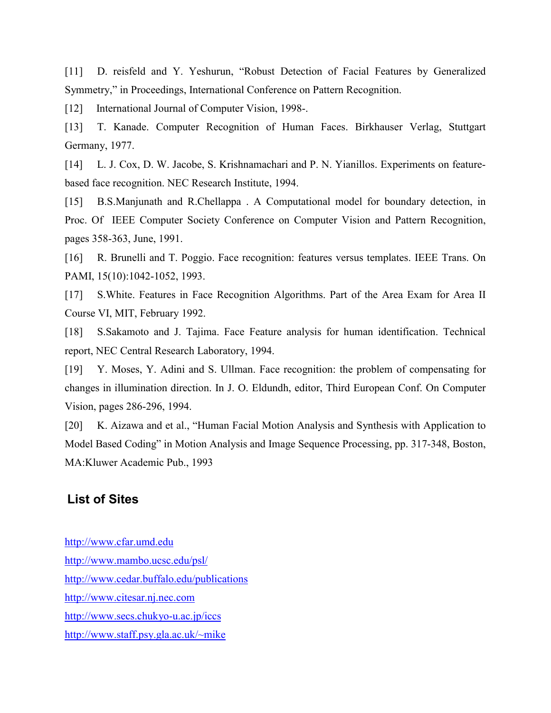[11] D. reisfeld and Y. Yeshurun, "Robust Detection of Facial Features by Generalized Symmetry," in Proceedings, International Conference on Pattern Recognition.

[12] International Journal of Computer Vision, 1998-.

[13] T. Kanade. Computer Recognition of Human Faces. Birkhauser Verlag, Stuttgart Germany, 1977.

[14] L. J. Cox, D. W. Jacobe, S. Krishnamachari and P. N. Yianillos. Experiments on featurebased face recognition. NEC Research Institute, 1994.

[15] B.S.Manjunath and R.Chellappa . A Computational model for boundary detection, in Proc. Of IEEE Computer Society Conference on Computer Vision and Pattern Recognition, pages 358-363, June, 1991.

[16] R. Brunelli and T. Poggio. Face recognition: features versus templates. IEEE Trans. On PAMI, 15(10):1042-1052, 1993.

[17] S.White. Features in Face Recognition Algorithms. Part of the Area Exam for Area II Course VI, MIT, February 1992.

[18] S.Sakamoto and J. Tajima. Face Feature analysis for human identification. Technical report, NEC Central Research Laboratory, 1994.

[19] Y. Moses, Y. Adini and S. Ullman. Face recognition: the problem of compensating for changes in illumination direction. In J. O. Eldundh, editor, Third European Conf. On Computer Vision, pages 286-296, 1994.

[20] K. Aizawa and et al., "Human Facial Motion Analysis and Synthesis with Application to Model Based Coding" in Motion Analysis and Image Sequence Processing, pp. 317-348, Boston, MA:Kluwer Academic Pub., 1993

## **List of Sites**

http://www.cfar.umd.edu http://www.mambo.ucsc.edu/psl/ http://www.cedar.buffalo.edu/publications http://www.citesar.nj.nec.com http://www.secs.chukyo-u.ac.jp/iccs http://www.staff.psy.gla.ac.uk/~mike